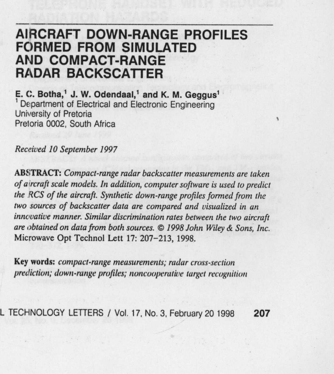## AIRCRAFT DOWN-RANGE PROFILES **FORMED FROM** SIMULATED AND COMPACT-RANGE RADAR BACKSCATTER

**E. C. Botha** ,' **J. W. Odendaal**,' **and K**. **M. Geggus'** Department of Electrical and Electronic Engineering University of Pretoria Pretoria 0002, South Africa

Received 10 September 1997

**ABSTRACT**: *Compact-range radar backscatter measurements are taken of aircraft scale models. In addition, computer software is used to predict the RCS of the aircraft. Synthetic down-range profiles formed from the two sources of backscatter data are compared and visualized* **in an** *innovative manner. Similar discrimination rates between the two aircraft are obtained on data from both sources.* ©1998 *John Wiley & Sons, Inc.* **Microwave** Opt Technol Lett 17: 207-213, 1998.

**Key words** : compact-range **measurements**; radar cross-section prediction; down-range profiles; noncooperative target recognition

L TECHNOLOGY **LETTERS** / **Vol. 17, No** . **3, February 20 1998 207**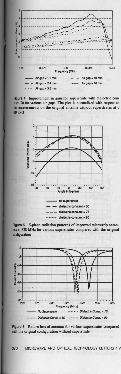











**370 MICROWAVE** AND OPTICAL TECHNOLOGY LETTERS / V